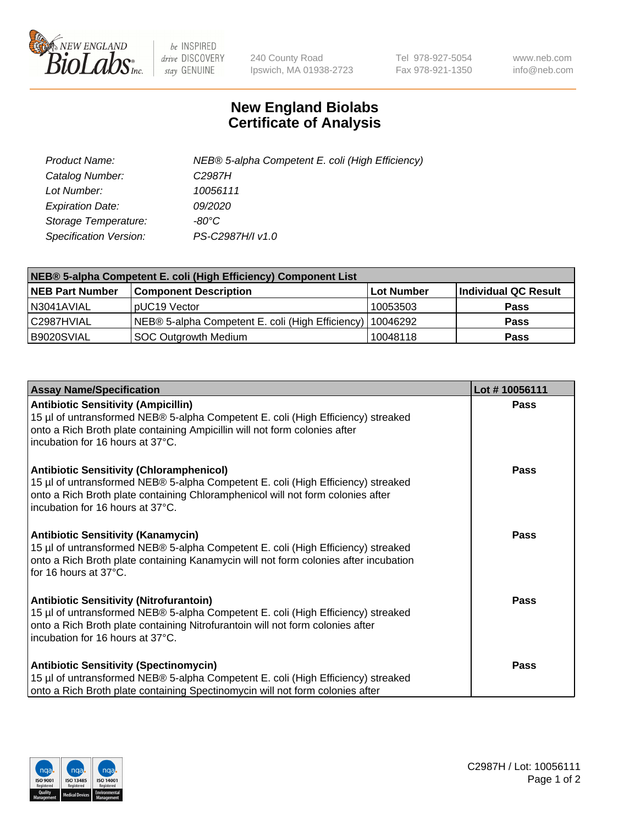

 $be$  INSPIRED drive DISCOVERY stay GENUINE

240 County Road Ipswich, MA 01938-2723 Tel 978-927-5054 Fax 978-921-1350 www.neb.com info@neb.com

## **New England Biolabs Certificate of Analysis**

| Product Name:           | NEB® 5-alpha Competent E. coli (High Efficiency) |
|-------------------------|--------------------------------------------------|
| Catalog Number:         | C <sub>2987</sub> H                              |
| Lot Number:             | 10056111                                         |
| <b>Expiration Date:</b> | <i>09/2020</i>                                   |
| Storage Temperature:    | -80°C                                            |
| Specification Version:  | PS-C2987H/I v1.0                                 |

| NEB® 5-alpha Competent E. coli (High Efficiency) Component List |                                                             |            |                      |  |
|-----------------------------------------------------------------|-------------------------------------------------------------|------------|----------------------|--|
| <b>NEB Part Number</b>                                          | <b>Component Description</b>                                | Lot Number | Individual QC Result |  |
| N3041AVIAL                                                      | pUC19 Vector                                                | 10053503   | Pass                 |  |
| C2987HVIAL                                                      | NEB® 5-alpha Competent E. coli (High Efficiency)   10046292 |            | <b>Pass</b>          |  |
| B9020SVIAL                                                      | <b>SOC Outgrowth Medium</b>                                 | 10048118   | <b>Pass</b>          |  |

| <b>Assay Name/Specification</b>                                                                                                                                                                                                                            | Lot #10056111 |
|------------------------------------------------------------------------------------------------------------------------------------------------------------------------------------------------------------------------------------------------------------|---------------|
| <b>Antibiotic Sensitivity (Ampicillin)</b><br>15 µl of untransformed NEB® 5-alpha Competent E. coli (High Efficiency) streaked<br>onto a Rich Broth plate containing Ampicillin will not form colonies after<br>incubation for 16 hours at 37°C.           | <b>Pass</b>   |
| <b>Antibiotic Sensitivity (Chloramphenicol)</b><br>15 µl of untransformed NEB® 5-alpha Competent E. coli (High Efficiency) streaked<br>onto a Rich Broth plate containing Chloramphenicol will not form colonies after<br>incubation for 16 hours at 37°C. | <b>Pass</b>   |
| <b>Antibiotic Sensitivity (Kanamycin)</b><br>15 µl of untransformed NEB® 5-alpha Competent E. coli (High Efficiency) streaked<br>onto a Rich Broth plate containing Kanamycin will not form colonies after incubation<br>for 16 hours at 37°C.             | Pass          |
| <b>Antibiotic Sensitivity (Nitrofurantoin)</b><br>15 µl of untransformed NEB® 5-alpha Competent E. coli (High Efficiency) streaked<br>onto a Rich Broth plate containing Nitrofurantoin will not form colonies after<br>incubation for 16 hours at 37°C.   | Pass          |
| <b>Antibiotic Sensitivity (Spectinomycin)</b><br>15 µl of untransformed NEB® 5-alpha Competent E. coli (High Efficiency) streaked<br>onto a Rich Broth plate containing Spectinomycin will not form colonies after                                         | Pass          |